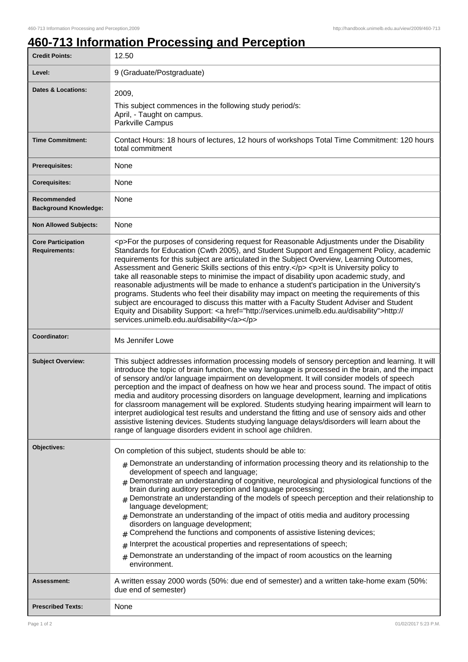## **460-713 Information Processing and Perception**

| <b>Credit Points:</b>                             | 12.50                                                                                                                                                                                                                                                                                                                                                                                                                                                                                                                                                                                                                                                                                                                                                                                                                                                                                                                        |
|---------------------------------------------------|------------------------------------------------------------------------------------------------------------------------------------------------------------------------------------------------------------------------------------------------------------------------------------------------------------------------------------------------------------------------------------------------------------------------------------------------------------------------------------------------------------------------------------------------------------------------------------------------------------------------------------------------------------------------------------------------------------------------------------------------------------------------------------------------------------------------------------------------------------------------------------------------------------------------------|
| Level:                                            | 9 (Graduate/Postgraduate)                                                                                                                                                                                                                                                                                                                                                                                                                                                                                                                                                                                                                                                                                                                                                                                                                                                                                                    |
| <b>Dates &amp; Locations:</b>                     | 2009,<br>This subject commences in the following study period/s:<br>April, - Taught on campus.<br>Parkville Campus                                                                                                                                                                                                                                                                                                                                                                                                                                                                                                                                                                                                                                                                                                                                                                                                           |
| <b>Time Commitment:</b>                           | Contact Hours: 18 hours of lectures, 12 hours of workshops Total Time Commitment: 120 hours<br>total commitment                                                                                                                                                                                                                                                                                                                                                                                                                                                                                                                                                                                                                                                                                                                                                                                                              |
| <b>Prerequisites:</b>                             | None                                                                                                                                                                                                                                                                                                                                                                                                                                                                                                                                                                                                                                                                                                                                                                                                                                                                                                                         |
| <b>Corequisites:</b>                              | None                                                                                                                                                                                                                                                                                                                                                                                                                                                                                                                                                                                                                                                                                                                                                                                                                                                                                                                         |
| Recommended<br><b>Background Knowledge:</b>       | None                                                                                                                                                                                                                                                                                                                                                                                                                                                                                                                                                                                                                                                                                                                                                                                                                                                                                                                         |
| <b>Non Allowed Subjects:</b>                      | None                                                                                                                                                                                                                                                                                                                                                                                                                                                                                                                                                                                                                                                                                                                                                                                                                                                                                                                         |
| <b>Core Participation</b><br><b>Requirements:</b> | <p>For the purposes of considering request for Reasonable Adjustments under the Disability<br/>Standards for Education (Cwth 2005), and Student Support and Engagement Policy, academic<br/>requirements for this subject are articulated in the Subject Overview, Learning Outcomes,<br/>Assessment and Generic Skills sections of this entry.</p> <p>It is University policy to<br/>take all reasonable steps to minimise the impact of disability upon academic study, and<br/>reasonable adjustments will be made to enhance a student's participation in the University's<br/>programs. Students who feel their disability may impact on meeting the requirements of this<br/>subject are encouraged to discuss this matter with a Faculty Student Adviser and Student<br/>Equity and Disability Support: &lt; a href="http://services.unimelb.edu.au/disability"&gt;http://<br/>services.unimelb.edu.au/disability</p> |
| Coordinator:                                      | Ms Jennifer Lowe                                                                                                                                                                                                                                                                                                                                                                                                                                                                                                                                                                                                                                                                                                                                                                                                                                                                                                             |
| <b>Subject Overview:</b>                          | This subject addresses information processing models of sensory perception and learning. It will<br>introduce the topic of brain function, the way language is processed in the brain, and the impact<br>of sensory and/or language impairment on development. It will consider models of speech<br>perception and the impact of deafness on how we hear and process sound. The impact of otitis<br>media and auditory processing disorders on language development, learning and implications<br>for classroom management will be explored. Students studying hearing impairment will learn to<br>interpret audiological test results and understand the fitting and use of sensory aids and other<br>assistive listening devices. Students studying language delays/disorders will learn about the<br>range of language disorders evident in school age children.                                                          |
| Objectives:                                       | On completion of this subject, students should be able to:                                                                                                                                                                                                                                                                                                                                                                                                                                                                                                                                                                                                                                                                                                                                                                                                                                                                   |
|                                                   | $#$ Demonstrate an understanding of information processing theory and its relationship to the<br>development of speech and language;<br>$#$ Demonstrate an understanding of cognitive, neurological and physiological functions of the<br>brain during auditory perception and language processing;<br>Demonstrate an understanding of the models of speech perception and their relationship to<br>language development;<br>$#$ Demonstrate an understanding of the impact of otitis media and auditory processing<br>disorders on language development;<br>$#$ Comprehend the functions and components of assistive listening devices;<br>Interpret the acoustical properties and representations of speech;<br>#<br>Demonstrate an understanding of the impact of room acoustics on the learning<br>#                                                                                                                     |
| Assessment:                                       | environment.<br>A written essay 2000 words (50%: due end of semester) and a written take-home exam (50%:                                                                                                                                                                                                                                                                                                                                                                                                                                                                                                                                                                                                                                                                                                                                                                                                                     |
|                                                   | due end of semester)                                                                                                                                                                                                                                                                                                                                                                                                                                                                                                                                                                                                                                                                                                                                                                                                                                                                                                         |
| <b>Prescribed Texts:</b>                          | None                                                                                                                                                                                                                                                                                                                                                                                                                                                                                                                                                                                                                                                                                                                                                                                                                                                                                                                         |